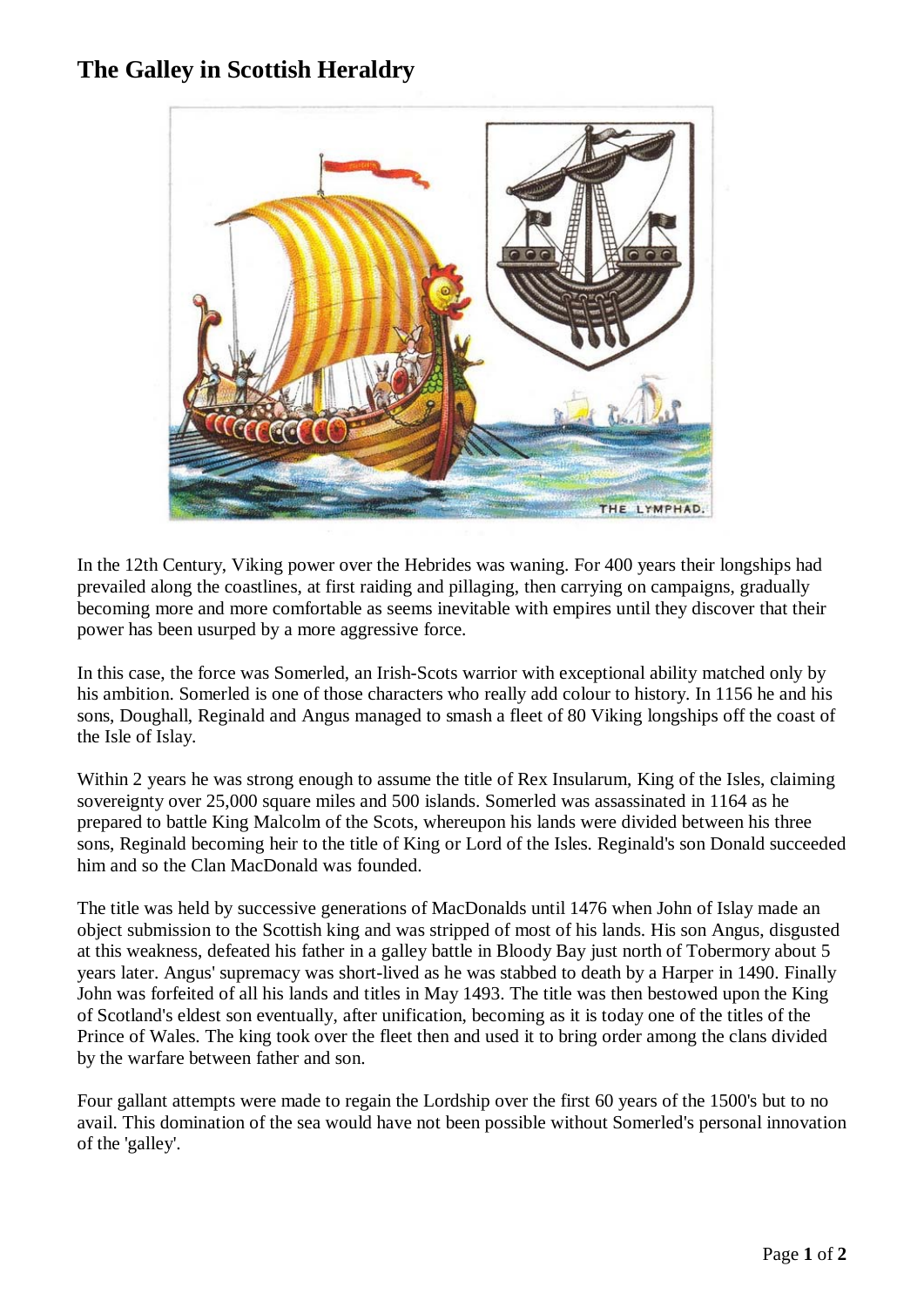## **The Galley in Scottish Heraldry**



In the 12th Century, Viking power over the Hebrides was waning. For 400 years their longships had prevailed along the coastlines, at first raiding and pillaging, then carrying on campaigns, gradually becoming more and more comfortable as seems inevitable with empires until they discover that their power has been usurped by a more aggressive force.

In this case, the force was Somerled, an Irish-Scots warrior with exceptional ability matched only by his ambition. Somerled is one of those characters who really add colour to history. In 1156 he and his sons, Doughall, Reginald and Angus managed to smash a fleet of 80 Viking longships off the coast of the Isle of Islay.

Within 2 years he was strong enough to assume the title of Rex Insularum, King of the Isles, claiming sovereignty over 25,000 square miles and 500 islands. Somerled was assassinated in 1164 as he prepared to battle King Malcolm of the Scots, whereupon his lands were divided between his three sons, Reginald becoming heir to the title of King or Lord of the Isles. Reginald's son Donald succeeded him and so the Clan MacDonald was founded.

The title was held by successive generations of MacDonalds until 1476 when John of Islay made an object submission to the Scottish king and was stripped of most of his lands. His son Angus, disgusted at this weakness, defeated his father in a galley battle in Bloody Bay just north of Tobermory about 5 years later. Angus' supremacy was short-lived as he was stabbed to death by a Harper in 1490. Finally John was forfeited of all his lands and titles in May 1493. The title was then bestowed upon the King of Scotland's eldest son eventually, after unification, becoming as it is today one of the titles of the Prince of Wales. The king took over the fleet then and used it to bring order among the clans divided by the warfare between father and son.

Four gallant attempts were made to regain the Lordship over the first 60 years of the 1500's but to no avail. This domination of the sea would have not been possible without Somerled's personal innovation of the 'galley'.